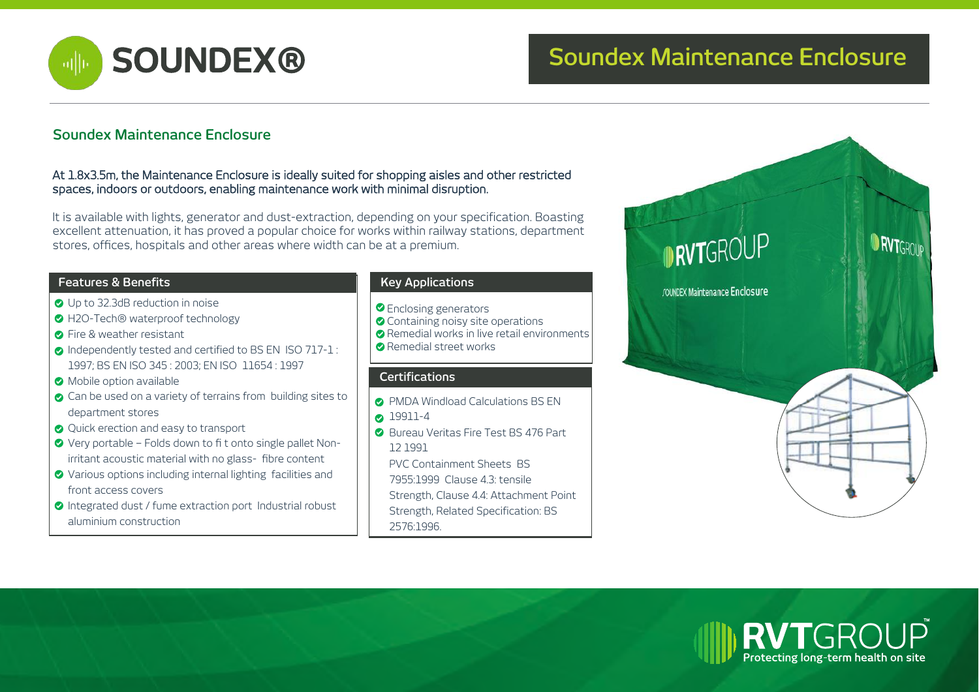

# **SOUNDEX® Soundex Maintenance Enclosure**

## **Soundex Maintenance Enclosure**

#### At 1.8x3.5m, the Maintenance Enclosure is ideally suited for shopping aisles and other restricted spaces, indoors or outdoors, enabling maintenance work with minimal disruption.

It is available with lights, generator and dust-extraction, depending on your specification. Boasting excellent attenuation, it has proved a popular choice for works within railway stations, department stores, offices, hospitals and other areas where width can be at a premium.

#### **Features & Benefits Key Applications**

- Up to 32.3dB reduction in noise
- H2O-Tech® waterproof technology
- **C** Fire & weather resistant
- **O** Independently tested and certified to BS EN ISO 717-1: 1997; BS EN ISO 345 : 2003; EN ISO 11654 : 1997
- **Mobile option available**
- Can be used on a variety of terrains from building sites to department stores
- **Q** Quick erection and easy to transport
- Very portable Folds down to fi t onto single pallet Nonirritant acoustic material with no glass- fibre content
- Various options including internal lighting facilities and front access covers
- **O** Integrated dust / fume extraction port Industrial robust aluminium construction

- **O** Enclosing generators
- Containing noisy site operations
- Remedial works in live retail environments
- **Remedial street works**

### **Certifications**

- **PMDA Windload Calculations BS EN**
- **2** 19911-4
- **Bureau Veritas Fire Test BS 476 Part** 12 1991
- PVC Containment Sheets BS
- 7955:1999 Clause 4.3: tensile
- Strength, Clause 4.4: Attachment Point
- Strength, Related Specification: BS
- 2576:1996.